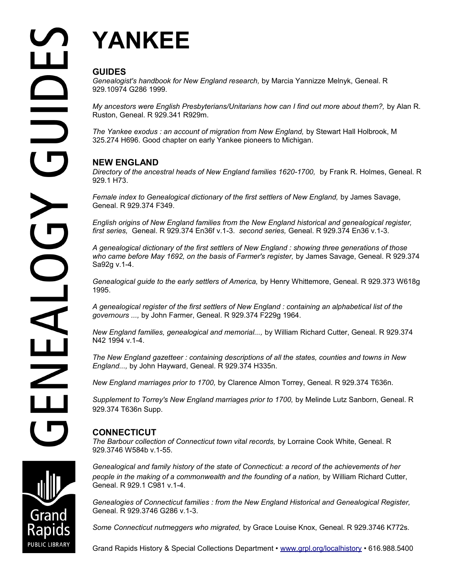# **YANKEE**

# **GUIDES**

*Genealogist's handbook for New England research,* by Marcia Yannizze Melnyk, Geneal. R 929.10974 G286 1999.

*My ancestors were English Presbyterians/Unitarians how can I find out more about them?, by Alan R.* Ruston, Geneal. R 929.341 R929m.

*The Yankee exodus : an account of migration from New England,* by Stewart Hall Holbrook, M 325.274 H696. Good chapter on early Yankee pioneers to Michigan.

# **NEW ENGLAND**

*Directory of the ancestral heads of New England families 1620-1700, by Frank R. Holmes, Geneal. R.* 929.1 H73.

Female index to Genealogical dictionary of the first settlers of New England, by James Savage, Geneal. R 929.374 F349.

*English origins of New England families from the New England historical and genealogical register, first series,* Geneal. R 929.374 En36f v.1-3. *second series,* Geneal. R 929.374 En36 v.1-3.

*A genealogical dictionary of the first settlers of New England : showing three generations of those who came before May 1692, on the basis of Farmer's register,* by James Savage, Geneal. R 929.374 Sa92g v.1-4.

*Genealogical guide to the early settlers of America,* by Henry Whittemore, Geneal. R 929.373 W618g 1995.

*A genealogical register of the first settlers of New England : containing an alphabetical list of the governours ...,* by John Farmer, Geneal. R 929.374 F229g 1964.

*New England families, genealogical and memorial...,* by William Richard Cutter, Geneal. R 929.374 N42 1994 v.1-4.

*The New England gazetteer : containing descriptions of all the states, counties and towns in New England...,* by John Hayward, Geneal. R 929.374 H335n.

*New England marriages prior to 1700,* by Clarence Almon Torrey, Geneal. R 929.374 T636n.

Supplement to Torrey's New England marriages prior to 1700, by Melinde Lutz Sanborn, Geneal. R 929.374 T636n Supp.

# **CONNECTICUT**

*The Barbour collection of Connecticut town vital records,* by Lorraine Cook White, Geneal. R 929.3746 W584b v.1-55.

*Genealogical and family history of the state of Connecticut: a record of the achievements of her people in the making of a commonwealth and the founding of a nation,* by William Richard Cutter, Geneal. R 929.1 C981 v.1-4.

*Genealogies of Connecticut families : from the New England Historical and Genealogical Register,* Geneal. R 929.3746 G286 v.1-3.

*Some Connecticut nutmeggers who migrated,* by Grace Louise Knox, Geneal. R 929.3746 K772s.

Grand Rapids History & Special Collections Department • [www.grpl.org/localhistory](http://www.grpl.org/localhistory) • 616.988.5400

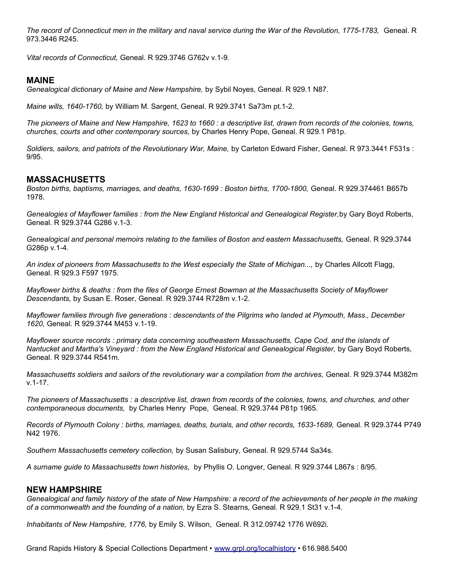*The record of Connecticut men in the military and naval service during the War of the Revolution, 1775-1783,* Geneal. R 973.3446 R245.

*Vital records of Connecticut,* Geneal. R 929.3746 G762v v.1-9.

# **MAINE**

*Genealogical dictionary of Maine and New Hampshire,* by Sybil Noyes, Geneal. R 929.1 N87.

*Maine wills, 1640-1760,* by William M. Sargent, Geneal. R 929.3741 Sa73m pt.1-2.

*The pioneers of Maine and New Hampshire, 1623 to 1660 : a descriptive list, drawn from records of the colonies, towns, churches, courts and other contemporary sources,* by Charles Henry Pope, Geneal. R 929.1 P81p.

*Soldiers, sailors, and patriots of the Revolutionary War, Maine,* by Carleton Edward Fisher, Geneal. R 973.3441 F531s : 9/95.

# **MASSACHUSETTS**

*Boston births, baptisms, marriages, and deaths, 1630-1699 : Boston births, 1700-1800,* Geneal. R 929.374461 B657b 1978.

*Genealogies of Mayflower families : from the New England Historical and Genealogical Register,*by Gary Boyd Roberts, Geneal. R 929.3744 G286 v.1-3.

*Genealogical and personal memoirs relating to the families of Boston and eastern Massachusetts,* Geneal. R 929.3744 G286p v.1-4.

*An index of pioneers from Massachusetts to the West especially the State of Michigan...,* by Charles Allcott Flagg, Geneal. R 929.3 F597 1975.

*Mayflower births & deaths : from the files of George Ernest Bowman at the Massachusetts Society of Mayflower Descendants,* by Susan E. Roser, Geneal. R 929.3744 R728m v.1-2.

*Mayflower families through five generations : descendants of the Pilgrims who landed at Plymouth, Mass., December 1620,* Geneal. R 929.3744 M453 v.1-19.

*Mayflower source records : primary data concerning southeastern Massachusetts, Cape Cod, and the islands of Nantucket and Martha's Vineyard : from the New England Historical and Genealogical Register, by Gary Boyd Roberts,* Geneal. R 929.3744 R541m.

*Massachusetts soldiers and sailors of the revolutionary war a compilation from the archives,* Geneal. R 929.3744 M382m v.1-17.

*The pioneers of Massachusetts : a descriptive list, drawn from records of the colonies, towns, and churches, and other contemporaneous documents,* by Charles Henry Pope, Geneal. R 929.3744 P81p 1965.

*Records of Plymouth Colony : births, marriages, deaths, burials, and other records, 1633-1689,* Geneal. R 929.3744 P749 N42 1976.

*Southern Massachusetts cemetery collection,* by Susan Salisbury, Geneal. R 929.5744 Sa34s.

*A surname guide to Massachusetts town histories,* by Phyllis O. Longver, Geneal. R 929.3744 L867s : 8/95.

### **NEW HAMPSHIRE**

*Genealogical and family history of the state of New Hampshire: a record of the achievements of her people in the making of a commonwealth and the founding of a nation,* by Ezra S. Stearns, Geneal. R 929.1 St31 v.1-4.

*Inhabitants of New Hampshire, 1776,* by Emily S. Wilson, Geneal. R 312.09742 1776 W692i.

Grand Rapids History & Special Collections Department • [www.grpl.org/localhistory](http://www.grpl.org/localhistory) • 616.988.5400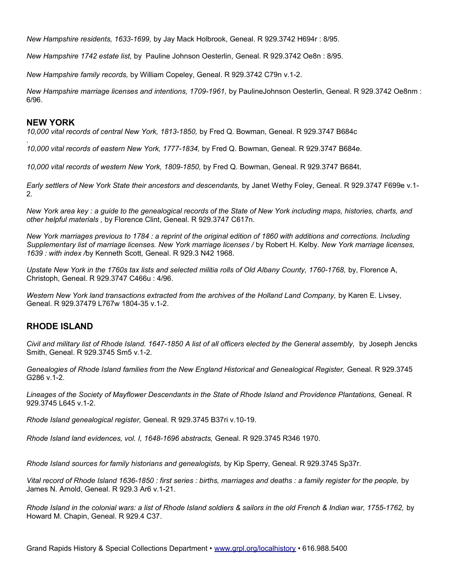*New Hampshire residents, 1633-1699,* by Jay Mack Holbrook, Geneal. R 929.3742 H694r : 8/95.

*New Hampshire 1742 estate list,* by Pauline Johnson Oesterlin, Geneal. R 929.3742 Oe8n : 8/95.

*New Hampshire family records,* by William Copeley, Geneal. R 929.3742 C79n v.1-2.

*New Hampshire marriage licenses and intentions, 1709-1961,* by PaulineJohnson Oesterlin, Geneal. R 929.3742 Oe8nm : 6/96.

#### **NEW YORK**

.

*10,000 vital records of central New York, 1813-1850,* by Fred Q. Bowman, Geneal. R 929.3747 B684c

*10,000 vital records of eastern New York, 1777-1834,* by Fred Q. Bowman, Geneal. R 929.3747 B684e.

*10,000 vital records of western New York, 1809-1850,* by Fred Q. Bowman, Geneal. R 929.3747 B684t.

*Early settlers of New York State their ancestors and descendants,* by Janet Wethy Foley, Geneal. R 929.3747 F699e v.1- 2.

*New York area key : a guide to the genealogical records of the State of New York including maps, histories, charts, and other helpful materials ,* by Florence Clint, Geneal. R 929.3747 C617n.

*New York marriages previous to 1784 : a reprint of the original edition of 1860 with additions and corrections. Including Supplementary list of marriage licenses. New York marriage licenses /* by Robert H. Kelby*. New York marriage licenses, 1639 : with index /*by Kenneth Scott*,* Geneal. R 929.3 N42 1968.

Upstate New York in the 1760s tax lists and selected militia rolls of Old Albany County, 1760-1768, by, Florence A, Christoph, Geneal. R 929.3747 C466u : 4/96.

*Western New York land transactions extracted from the archives of the Holland Land Company,* by Karen E. Livsey, Geneal. R 929.37479 L767w 1804-35 v.1-2.

# **RHODE ISLAND**

*Civil and military list of Rhode Island. 1647-1850 A list of all officers elected by the General assembly,* by Joseph Jencks Smith, Geneal. R 929.3745 Sm5 v.1-2.

*Genealogies of Rhode Island families from the New England Historical and Genealogical Register,* Geneal. R 929.3745 G286 v.1-2.

*Lineages of the Society of Mayflower Descendants in the State of Rhode Island and Providence Plantations,* Geneal. R 929.3745 L645 v.1-2.

*Rhode Island genealogical register,* Geneal. R 929.3745 B37ri v.10-19.

*Rhode Island land evidences, vol. I, 1648-1696 abstracts,* Geneal. R 929.3745 R346 1970.

*Rhode Island sources for family historians and genealogists,* by Kip Sperry, Geneal. R 929.3745 Sp37r.

*Vital record of Rhode Island 1636-1850 : first series : births, marriages and deaths : a family register for the people,* by James N. Arnold, Geneal. R 929.3 Ar6 v.1-21.

*Rhode Island in the colonial wars: a list of Rhode Island soldiers & sailors in the old French & Indian war, 1755-1762,* by Howard M. Chapin, Geneal. R 929.4 C37.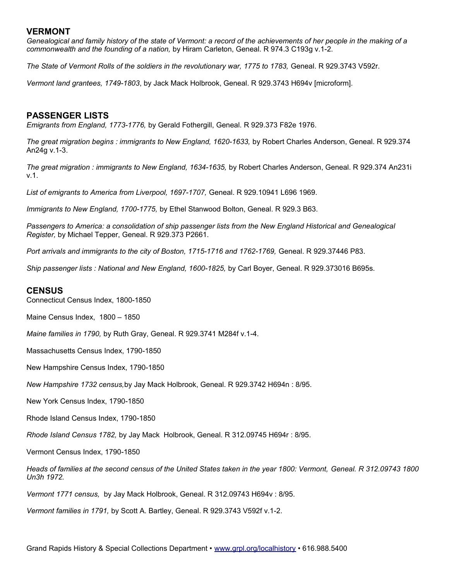## **VERMONT**

*Genealogical and family history of the state of Vermont: a record of the achievements of her people in the making of a commonwealth and the founding of a nation,* by Hiram Carleton, Geneal. R 974.3 C193g v.1-2.

*The State of Vermont Rolls of the soldiers in the revolutionary war, 1775 to 1783,* Geneal. R 929.3743 V592r.

*Vermont land grantees, 1749-1803*, by Jack Mack Holbrook, Geneal. R 929.3743 H694v [microform].

# **PASSENGER LISTS**

*Emigrants from England, 1773-1776,* by Gerald Fothergill, Geneal. R 929.373 F82e 1976.

*The great migration begins : immigrants to New England, 1620-1633,* by Robert Charles Anderson, Geneal. R 929.374 An24g v.1-3.

*The great migration : immigrants to New England, 1634-1635,* by Robert Charles Anderson, Geneal. R 929.374 An231i v.1.

*List of emigrants to America from Liverpool, 1697-1707,* Geneal. R 929.10941 L696 1969.

*Immigrants to New England, 1700-1775,* by Ethel Stanwood Bolton, Geneal. R 929.3 B63.

*Passengers to America: a consolidation of ship passenger lists from the New England Historical and Genealogical Register,* by Michael Tepper, Geneal. R 929.373 P2661.

*Port arrivals and immigrants to the city of Boston, 1715-1716 and 1762-1769,* Geneal. R 929.37446 P83.

*Ship passenger lists : National and New England, 1600-1825,* by Carl Boyer, Geneal. R 929.373016 B695s.

#### **CENSUS**

Connecticut Census Index, 1800-1850

Maine Census Index, 1800 – 1850

*Maine families in 1790,* by Ruth Gray, Geneal. R 929.3741 M284f v.1-4.

Massachusetts Census Index, 1790-1850

New Hampshire Census Index, 1790-1850

*New Hampshire 1732 census,*by Jay Mack Holbrook, Geneal. R 929.3742 H694n : 8/95.

New York Census Index, 1790-1850

Rhode Island Census Index, 1790-1850

*Rhode Island Census 1782,* by Jay Mack Holbrook, Geneal. R 312.09745 H694r : 8/95.

Vermont Census Index, 1790-1850

*Heads of families at the second census of the United States taken in the year 1800: Vermont, Geneal. R 312.09743 1800 Un3h 1972.* 

*Vermont 1771 census,* by Jay Mack Holbrook, Geneal. R 312.09743 H694v : 8/95.

*Vermont families in 1791,* by Scott A. Bartley, Geneal. R 929.3743 V592f v.1-2.